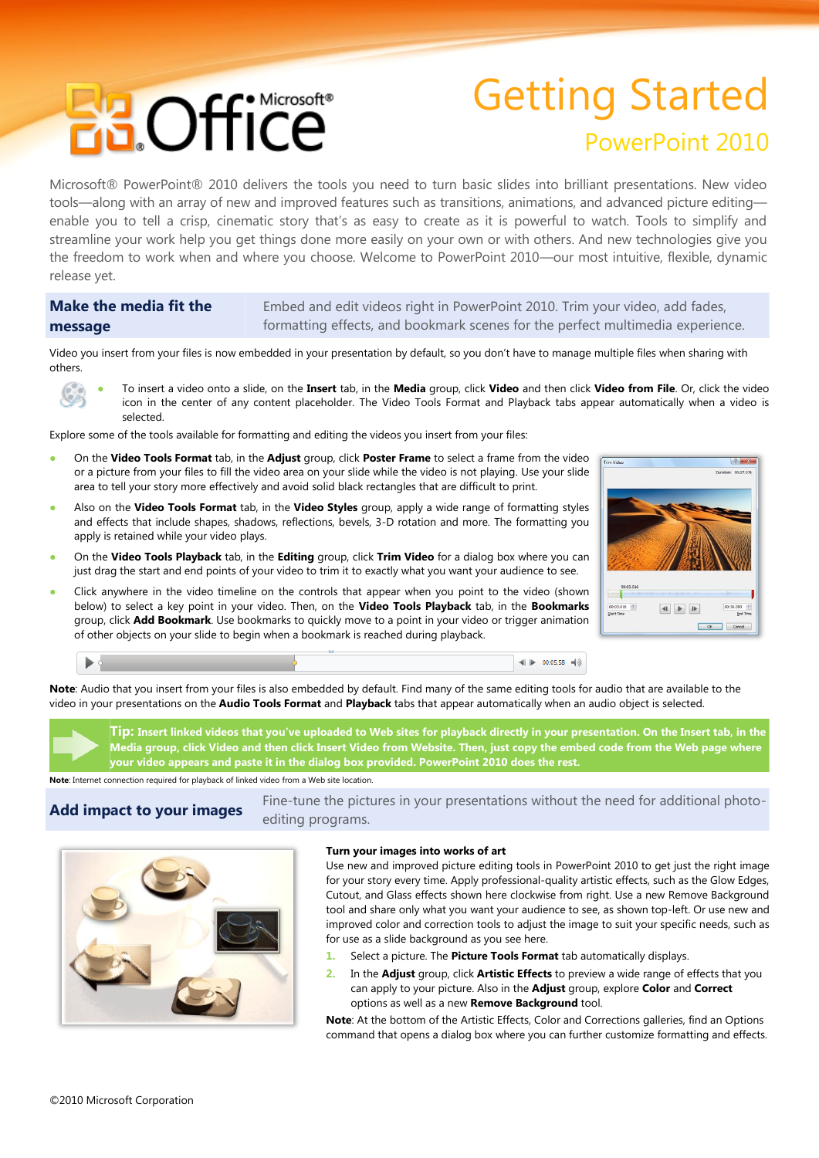# **BROffice**

## Getting Started PowerPoint 2010

Microsoft® PowerPoint® 2010 delivers the tools you need to turn basic slides into brilliant presentations. New video tools—along with an array of new and improved features such as transitions, animations, and advanced picture editing enable you to tell a crisp, cinematic story that's as easy to create as it is powerful to watch. Tools to simplify and streamline your work help you get things done more easily on your own or with others. And new technologies give you the freedom to work when and where you choose. Welcome to PowerPoint 2010—our most intuitive, flexible, dynamic release yet.

#### **Make the media fit the message** Embed and edit videos right in PowerPoint 2010. Trim your video, add fades, formatting effects, and bookmark scenes for the perfect multimedia experience.

Video you insert from your files is now embedded in your presentation by default, so you don't have to manage multiple files when sharing with others.

● To insert a video onto a slide, on the **Insert** tab, in the **Media** group, click **Video** and then click **Video from File**. Or, click the video icon in the center of any content placeholder. The Video Tools Format and Playback tabs appear automatically when a video is selected.

Explore some of the tools available for formatting and editing the videos you insert from your files:

- On the **Video Tools Format** tab, in the **Adjust** group, click **Poster Frame** to select a frame from the video or a picture from your files to fill the video area on your slide while the video is not playing. Use your slide area to tell your story more effectively and avoid solid black rectangles that are difficult to print.
- Also on the **Video Tools Format** tab, in the **Video Styles** group, apply a wide range of formatting styles and effects that include shapes, shadows, reflections, bevels, 3-D rotation and more. The formatting you apply is retained while your video plays.
- On the **Video Tools Playback** tab, in the **Editing** group, click **Trim Video** for a dialog box where you can just drag the start and end points of your video to trim it to exactly what you want your audience to see.
- Click anywhere in the video timeline on the controls that appear when you point to the video (shown below) to select a key point in your video. Then, on the **Video Tools Playback** tab, in the **Bookmarks** group, click **Add Bookmark**. Use bookmarks to quickly move to a point in your video or trigger animation of other objects on your slide to begin when a bookmark is reached during playback.



**Note**: Audio that you insert from your files is also embedded by default. Find many of the same editing tools for audio that are available to the video in your presentations on the **Audio Tools Format** and **Playback** tabs that appear automatically when an audio object is selected.

**Tip: Insert linked videos that you've uploaded to Web sites for playback directly in your presentation. On the Insert tab, in the Media group, click Video and then click Insert Video from Website. Then, just copy the embed code from the Web page where your video appears and paste it in the dialog box provided. PowerPoint 2010 does the rest.**

**Note**: Internet connection required for playback of linked video from a Web site location.

**Add impact to your images** Fine-tune the pictures in your presentations without the need for additional photoediting programs.



#### **Turn your images into works of art**

Use new and improved picture editing tools in PowerPoint 2010 to get just the right image for your story every time. Apply professional-quality artistic effects, such as the Glow Edges, Cutout, and Glass effects shown here clockwise from right. Use a new Remove Background tool and share only what you want your audience to see, as shown top-left. Or use new and improved color and correction tools to adjust the image to suit your specific needs, such as for use as a slide background as you see here.

◀ | 00:05.58 ◀ 0)

- **1.** Select a picture. The **Picture Tools Format** tab automatically displays.
- **2.** In the **Adjust** group, click **Artistic Effects** to preview a wide range of effects that you can apply to your picture. Also in the **Adjust** group, explore **Color** and **Correct** options as well as a new **Remove Background** tool.

**Note**: At the bottom of the Artistic Effects, Color and Corrections galleries, find an Options command that opens a dialog box where you can further customize formatting and effects.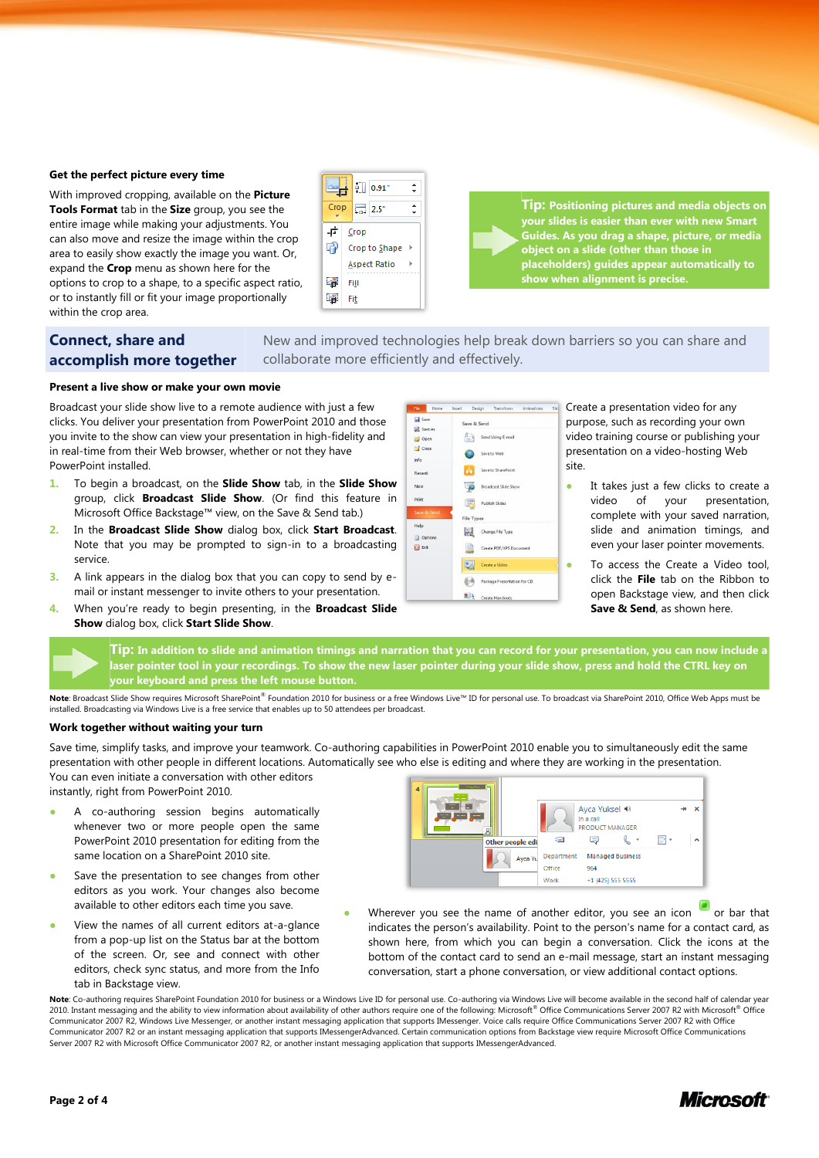#### **Get the perfect picture every time**

With improved cropping, available on the **Picture Tools Format** tab in the **Size** group, you see the entire image while making your adjustments. You can also move and resize the image within the crop area to easily show exactly the image you want. Or, expand the **Crop** menu as shown here for the options to crop to a shape, to a specific aspect ratio, or to instantly fill or fit your image proportionally within the crop area.



**Tip: Positioning pictures and media objects on your slides is easier than ever with new Smart Guides. As you drag a shape, picture, or media object on a slide (other than those in placeholders) guides appear automatically to show when alignment is precise.**

### **Connect, share and accomplish more together**

New and improved technologies help break down barriers so you can share and collaborate more efficiently and effectively.

#### **Present a live show or make your own movie**

Broadcast your slide show live to a remote audience with just a few clicks. You deliver your presentation from PowerPoint 2010 and those you invite to the show can view your presentation in high-fidelity and in real-time from their Web browser, whether or not they have PowerPoint installed.

- **1.** To begin a broadcast, on the **Slide Show** tab, in the **Slide Show**  group, click **Broadcast Slide Show**. (Or find this feature in Microsoft Office Backstage™ view, on the Save & Send tab.)
- **2.** In the **Broadcast Slide Show** dialog box, click **Start Broadcast**. Note that you may be prompted to sign-in to a broadcasting service.
- **3.** A link appears in the dialog box that you can copy to send by email or instant messenger to invite others to your presentation.
- **4.** When you're ready to begin presenting, in the **Broadcast Slide Show** dialog box, click **Start Slide Show**.



Create a presentation video for any purpose, such as recording your own video training course or publishing your presentation on a video-hosting Web site.

- It takes just a few clicks to create a video of your presentation, complete with your saved narration, slide and animation timings, and even your laser pointer movements.
- To access the Create a Video tool, click the **File** tab on the Ribbon to open Backstage view, and then click **Save & Send**, as shown here.

**Tip: In addition to slide and animation timings and narration that you can record for your presentation, you can now include a laser pointer tool in your recordings. To show the new laser pointer during your slide show, press and hold the CTRL key on your keyboard and press the left mouse button.**

Note: Broadcast Slide Show requires Microsoft SharePoint® Foundation 2010 for business or a free Windows Live™ ID for personal use. To broadcast via SharePoint 2010, Office Web Apps must be installed. Broadcasting via Windows Live is a free service that enables up to 50 attendees per broadcast.

#### **Work together without waiting your turn**

Save time, simplify tasks, and improve your teamwork. Co-authoring capabilities in PowerPoint 2010 enable you to simultaneously edit the same presentation with other people in different locations. Automatically see who else is editing and where they are working in the presentation. You can even initiate a conversation with other editors

instantly, right from PowerPoint 2010.

- A co-authoring session begins automatically whenever two or more people open the same PowerPoint 2010 presentation for editing from the same location on a SharePoint 2010 site.
- Save the presentation to see changes from other editors as you work. Your changes also become available to other editors each time you save.
- View the names of all current editors at-a-glance from a pop-up list on the Status bar at the bottom of the screen. Or, see and connect with other editors, check sync status, and more from the Info tab in Backstage view.



Wherever you see the name of another editor, you see an icon  $\Box$  or bar that indicates the person's availability. Point to the person's name for a contact card, as shown here, from which you can begin a conversation. Click the icons at the bottom of the contact card to send an e-mail message, start an instant messaging conversation, start a phone conversation, or view additional contact options.

Note: Co-authoring requires SharePoint Foundation 2010 for business or a Windows Live ID for personal use. Co-authoring via Windows Live will become available in the second half of calendar year 2010. Instant messaging and the ability to view information about availability of other authors require one of the following: Microsoft® Office Communications Server 2007 R2 with Microsoft® Office Communicator 2007 R2, Windows Live Messenger, or another instant messaging application that supports IMessenger. Voice calls require Office Communications Server 2007 R2 with Office Communicator 2007 R2 or an instant messaging application that supports IMessengerAdvanced. Certain communication options from Backstage view require Microsoft Office Communications Server 2007 R2 with Microsoft Office Communicator 2007 R2, or another instant messaging application that supports IMessengerAdvanced.

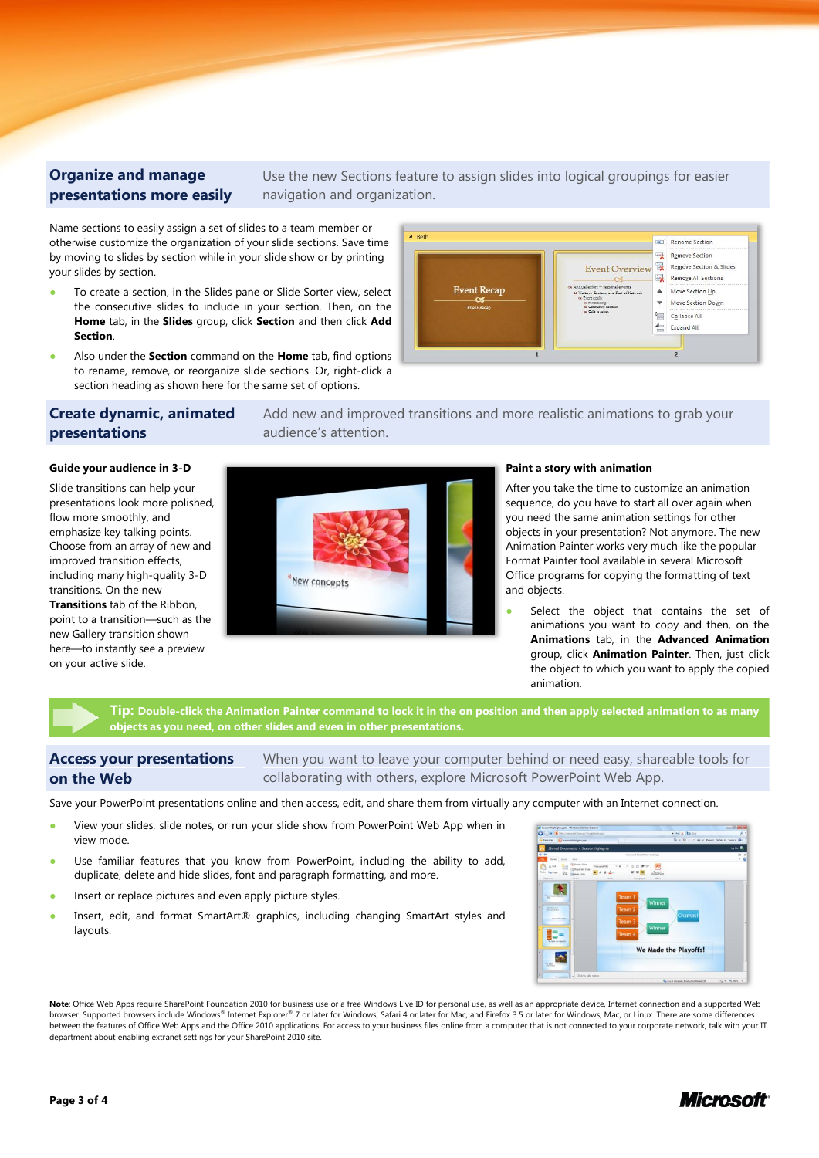#### **Organize and manage presentations more easily**

Use the new Sections feature to assign slides into logical groupings for easier navigation and organization.

Name sections to easily assign a set of slides to a team member or otherwise customize the organization of your slide sections. Save time by moving to slides by section while in your slide show or by printing your slides by section.

- To create a section, in the Slides pane or Slide Sorter view, select the consecutive slides to include in your section. Then, on the **Home** tab, in the **Slides** group, click **Section** and then click **Add Section**.
- Also under the **Section** command on the **Home** tab, find options to rename, remove, or reorganize slide sections. Or, right-click a section heading as shown here for the same set of options.

#### Add new and improved transitions and more realistic animations to grab your audience's attention.

#### **Guide your audience in 3-D**

**presentations**

on your active slide.

**Create dynamic, animated** 

Slide transitions can help your presentations look more polished, flow more smoothly, and emphasize key talking points. Choose from an array of new and improved transition effects, including many high-quality 3-D transitions. On the new **Transitions** tab of the Ribbon, point to a transition—such as the new Gallery transition shown here—to instantly see a preview



#### **Paint a story with animation**

After you take the time to customize an animation sequence, do you have to start all over again when you need the same animation settings for other objects in your presentation? Not anymore. The new Animation Painter works very much like the popular Format Painter tool available in several Microsoft Office programs for copying the formatting of text and objects.

Select the object that contains the set of animations you want to copy and then, on the **Animations** tab, in the **Advanced Animation** group, click **Animation Painter**. Then, just click the object to which you want to apply the copied animation.

**Tip: Double-click the Animation Painter command to lock it in the on position and then apply selected animation to as many objects as you need, on other slides and even in other presentations.**

#### **Access your presentations on the Web**

When you want to leave your computer behind or need easy, shareable tools for collaborating with others, explore Microsoft PowerPoint Web App.

Save your PowerPoint presentations online and then access, edit, and share them from virtually any computer with an Internet connection.

- View your slides, slide notes, or run your slide show from PowerPoint Web App when in view mode.
- Use familiar features that you know from PowerPoint, including the ability to add, duplicate, delete and hide slides, font and paragraph formatting, and more.
- Insert or replace pictures and even apply picture styles.
- Insert, edit, and format SmartArt® graphics, including changing SmartArt styles and layouts.



Note: Office Web Apps require SharePoint Foundation 2010 for business use or a free Windows Live ID for personal use, as well as an appropriate device, Internet connection and a supported Web browser. Supported browsers include Windows® Internet Explorer® 7 or later for Windows, Safari 4 or later for Mac, and Firefox 3.5 or later for Windows, Mac, or Linux. There are some differences between the features of Office Web Apps and the Office 2010 applications. For access to your business files online from a computer that is not connected to your corporate network, talk with your IT department about enabling extranet settings for your SharePoint 2010 site.